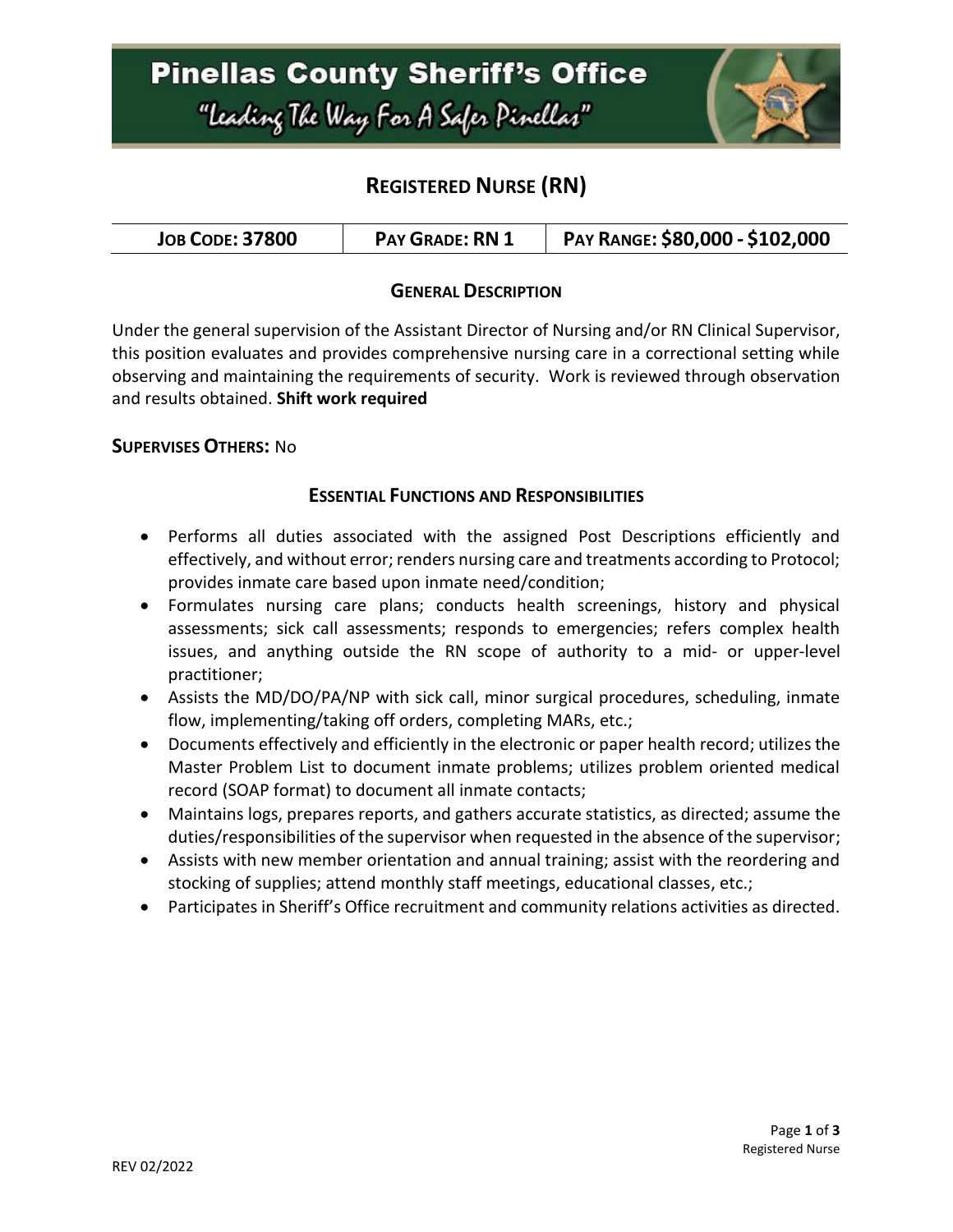

## **REGISTERED NURSE (RN)**

| <b>JOB CODE: 37800</b> | <b>PAY GRADE: RN 1</b> | PAY RANGE: \$80,000 - \$102,000 |
|------------------------|------------------------|---------------------------------|
|------------------------|------------------------|---------------------------------|

### **GENERAL DESCRIPTION**

Under the general supervision of the Assistant Director of Nursing and/or RN Clinical Supervisor, this position evaluates and provides comprehensive nursing care in a correctional setting while observing and maintaining the requirements of security. Work is reviewed through observation and results obtained. **Shift work required**

#### **SUPERVISES OTHERS:** No

#### **ESSENTIAL FUNCTIONS AND RESPONSIBILITIES**

- Performs all duties associated with the assigned Post Descriptions efficiently and effectively, and without error; renders nursing care and treatments according to Protocol; provides inmate care based upon inmate need/condition;
- Formulates nursing care plans; conducts health screenings, history and physical assessments; sick call assessments; responds to emergencies; refers complex health issues, and anything outside the RN scope of authority to a mid- or upper-level practitioner;
- Assists the MD/DO/PA/NP with sick call, minor surgical procedures, scheduling, inmate flow, implementing/taking off orders, completing MARs, etc.;
- Documents effectively and efficiently in the electronic or paper health record; utilizes the Master Problem List to document inmate problems; utilizes problem oriented medical record (SOAP format) to document all inmate contacts;
- Maintains logs, prepares reports, and gathers accurate statistics, as directed; assume the duties/responsibilities of the supervisor when requested in the absence of the supervisor;
- Assists with new member orientation and annual training; assist with the reordering and stocking of supplies; attend monthly staff meetings, educational classes, etc.;
- Participates in Sheriff's Office recruitment and community relations activities as directed.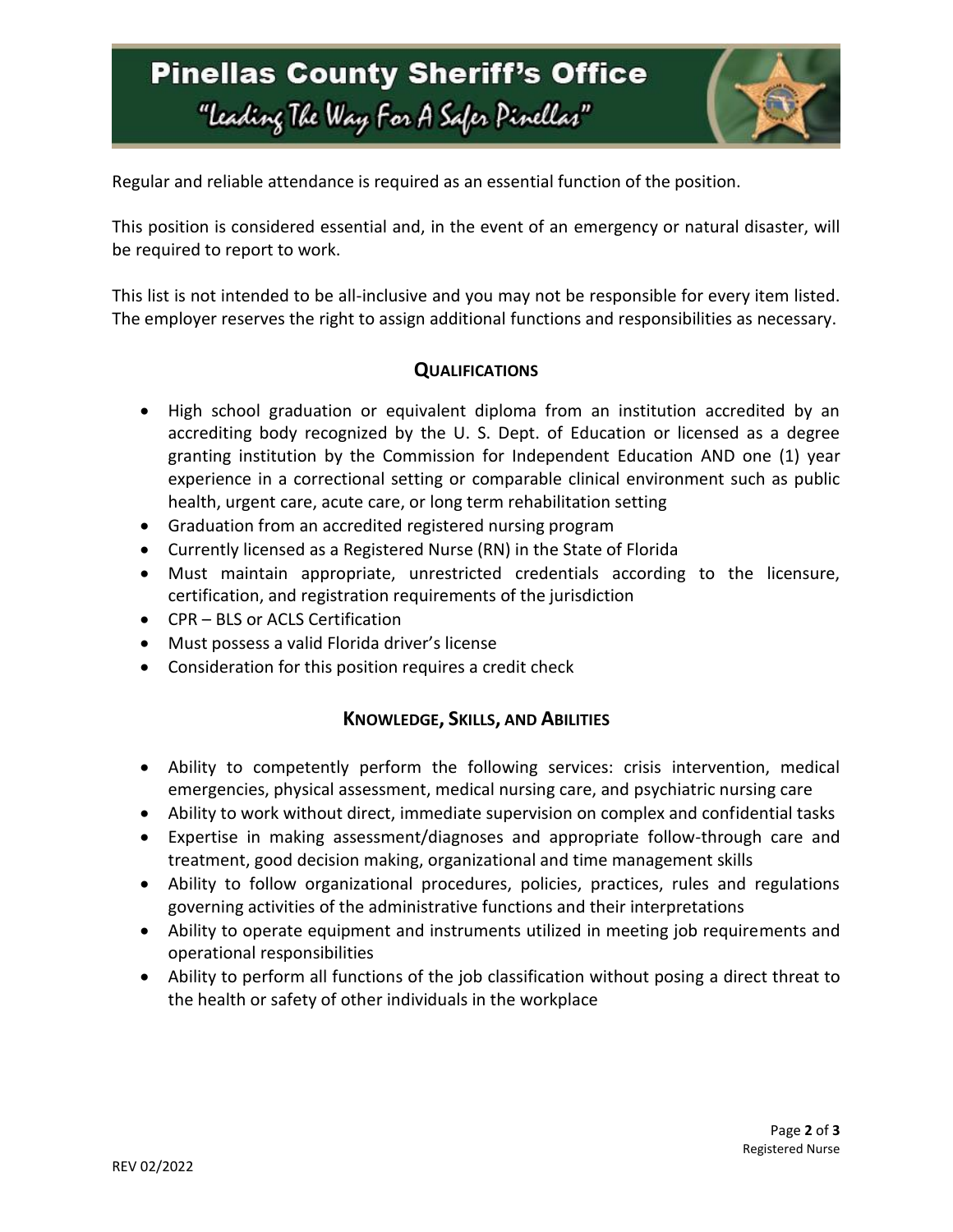# **Pinellas County Sheriff's Office** "Leading The Way For A Safer Pinellar"



Regular and reliable attendance is required as an essential function of the position.

This position is considered essential and, in the event of an emergency or natural disaster, will be required to report to work.

This list is not intended to be all-inclusive and you may not be responsible for every item listed. The employer reserves the right to assign additional functions and responsibilities as necessary.

### **QUALIFICATIONS**

- High school graduation or equivalent diploma from an institution accredited by an accrediting body recognized by the U. S. Dept. of Education or licensed as a degree granting institution by the Commission for Independent Education AND one (1) year experience in a correctional setting or comparable clinical environment such as public health, urgent care, acute care, or long term rehabilitation setting
- Graduation from an accredited registered nursing program
- Currently licensed as a Registered Nurse (RN) in the State of Florida
- Must maintain appropriate, unrestricted credentials according to the licensure, certification, and registration requirements of the jurisdiction
- CPR BLS or ACLS Certification
- Must possess a valid Florida driver's license
- Consideration for this position requires a credit check

### **KNOWLEDGE, SKILLS, AND ABILITIES**

- Ability to competently perform the following services: crisis intervention, medical emergencies, physical assessment, medical nursing care, and psychiatric nursing care
- Ability to work without direct, immediate supervision on complex and confidential tasks
- Expertise in making assessment/diagnoses and appropriate follow-through care and treatment, good decision making, organizational and time management skills
- Ability to follow organizational procedures, policies, practices, rules and regulations governing activities of the administrative functions and their interpretations
- Ability to operate equipment and instruments utilized in meeting job requirements and operational responsibilities
- Ability to perform all functions of the job classification without posing a direct threat to the health or safety of other individuals in the workplace